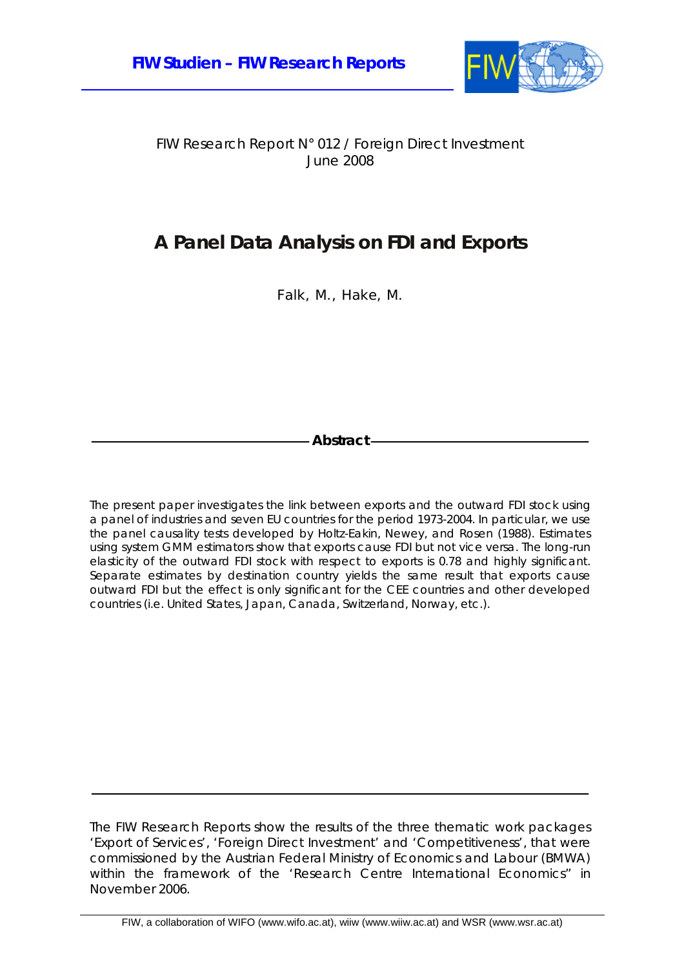

FIW Research Report N° 012 / Foreign Direct Investment June 2008

# **A Panel Data Analysis on FDI and Exports**

Falk, M., Hake, M.

**Abstract** 

The present paper investigates the link between exports and the outward FDI stock using a panel of industries and seven EU countries for the period 1973-2004. In particular, we use the panel causality tests developed by Holtz-Eakin, Newey, and Rosen (1988). Estimates using system GMM estimators show that exports cause FDI but not vice versa. The long-run elasticity of the outward FDI stock with respect to exports is 0.78 and highly significant. Separate estimates by destination country yields the same result that exports cause outward FDI but the effect is only significant for the CEE countries and other developed countries (i.e. United States, Japan, Canada, Switzerland, Norway, etc.).

The FIW Research Reports show the results of the three thematic work packages 'Export of Services', 'Foreign Direct Investment' and 'Competitiveness', that were commissioned by the Austrian Federal Ministry of Economics and Labour (BMWA) within the framework of the 'Research Centre International Economics" in November 2006.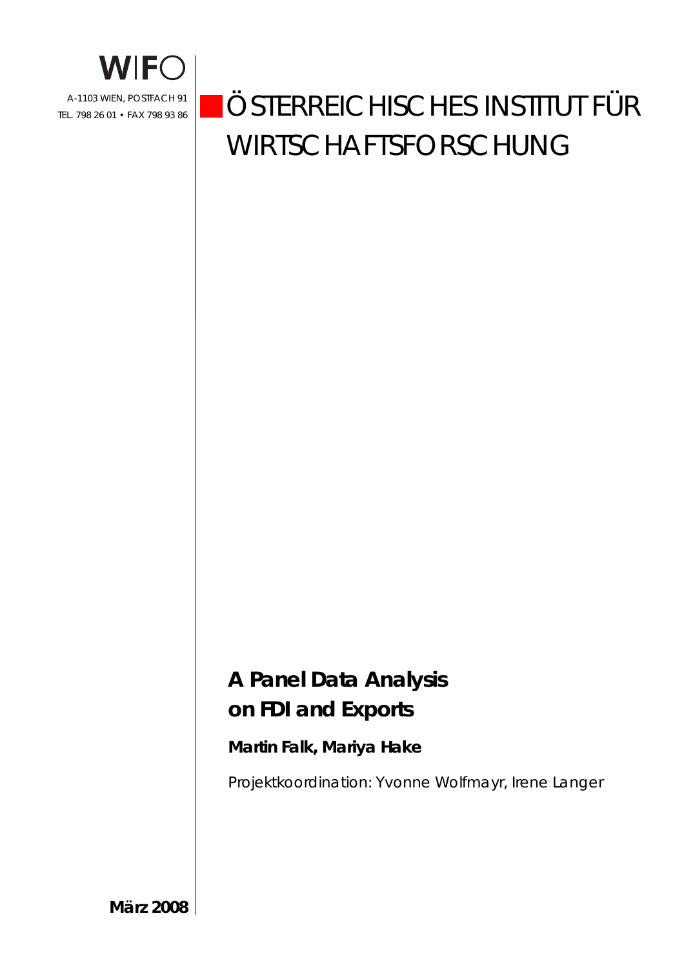

# ÖSTERREICHISCHES INSTITUT FÜR WIRTSCHAFTSFORSCHUNG

# **A Panel Data Analysis on FDI and Exports**

### **Martin Falk, Mariya Hake**

Projektkoordination: Yvonne Wolfmayr, Irene Langer

**März 2008**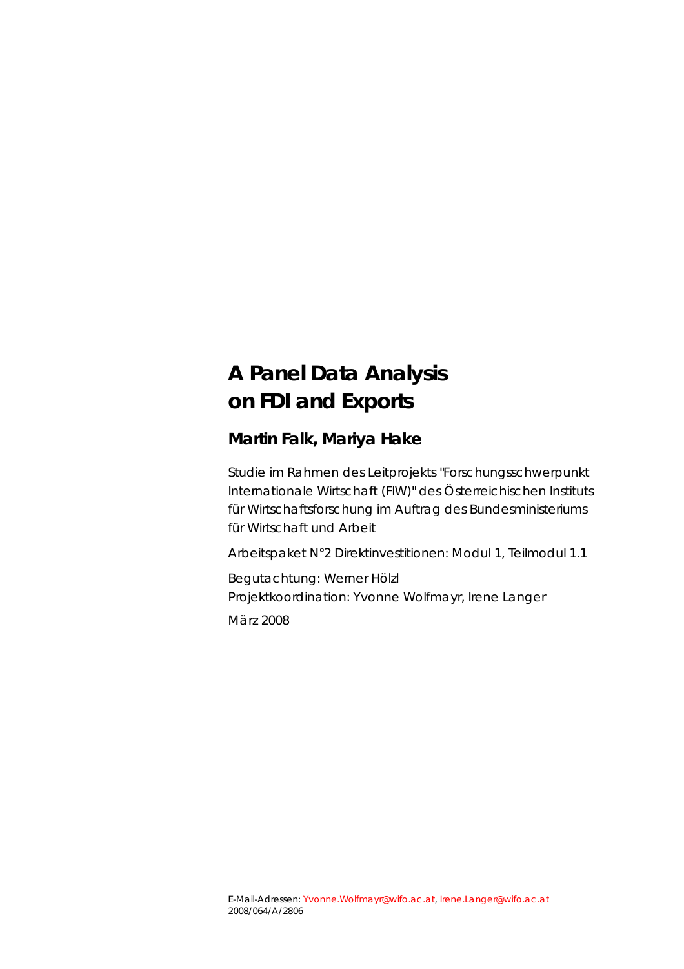# **A Panel Data Analysis on FDI and Exports**

### **Martin Falk, Mariya Hake**

Studie im Rahmen des Leitprojekts "Forschungsschwerpunkt Internationale Wirtschaft (FIW)" des Österreichischen Instituts für Wirtschaftsforschung im Auftrag des Bundesministeriums für Wirtschaft und Arbeit

Arbeitspaket N°2 Direktinvestitionen: Modul 1, Teilmodul 1.1

Begutachtung: Werner Hölzl Projektkoordination: Yvonne Wolfmayr, Irene Langer März 2008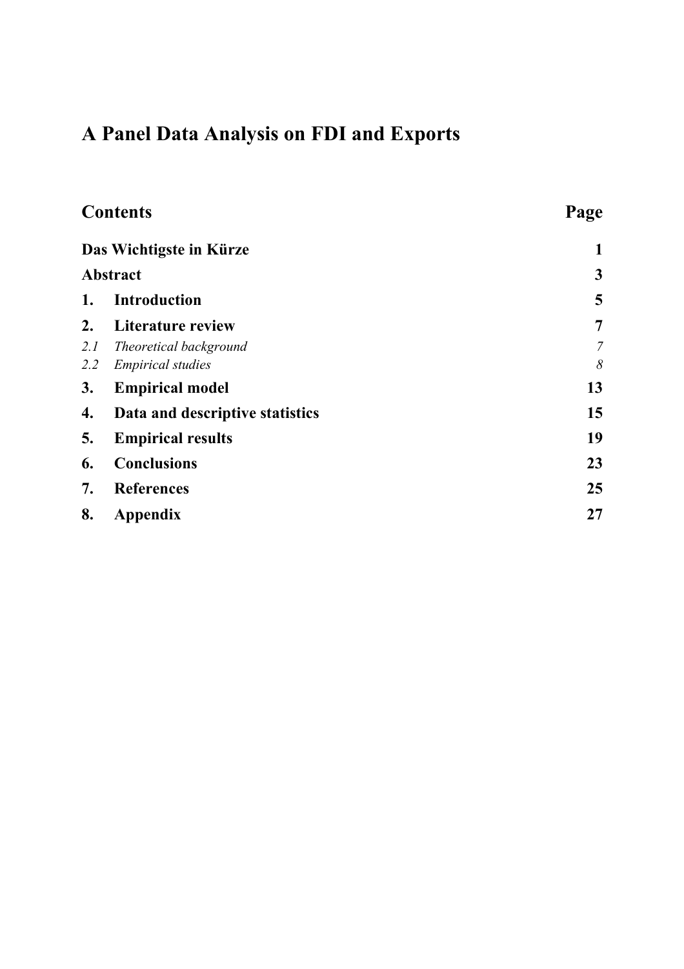# **A Panel Data Analysis on FDI and Exports**

|     | <b>Contents</b>                 | Page           |
|-----|---------------------------------|----------------|
|     | Das Wichtigste in Kürze         | 1              |
|     | <b>Abstract</b>                 | 3              |
| 1.  | <b>Introduction</b>             | 5              |
| 2.  | Literature review               | 7              |
| 2.1 | Theoretical background          | $\overline{7}$ |
| 2.2 | <b>Empirical studies</b>        | 8              |
| 3.  | <b>Empirical model</b>          | 13             |
| 4.  | Data and descriptive statistics | 15             |
| 5.  | <b>Empirical results</b>        | 19             |
| 6.  | <b>Conclusions</b>              | 23             |
| 7.  | <b>References</b>               | 25             |
| 8.  | <b>Appendix</b>                 | 27             |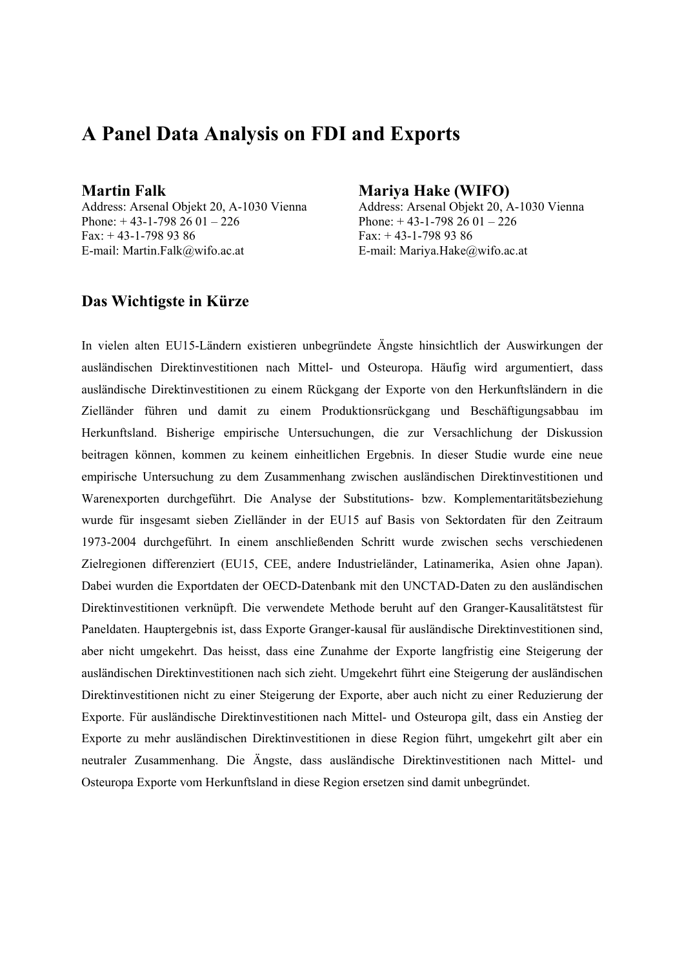### **A Panel Data Analysis on FDI and Exports**

Phone:  $+ 43-1-798 \overline{26} \overline{01} - 226$  Phone:  $+ 43-1-798 \overline{26} \overline{01} - 226$ Fax:  $+43-1-7989386$  Fax:  $+43-1-7989386$ E-mail: Martin.Falk@wifo.ac.at E-mail: Mariya.Hake@wifo.ac.at

#### **Martin Falk Mariya Hake (WIFO)**

Address: Arsenal Objekt 20, A-1030 Vienna Address: Arsenal Objekt 20, A-1030 Vienna

#### **Das Wichtigste in Kürze**

In vielen alten EU15-Ländern existieren unbegründete Ängste hinsichtlich der Auswirkungen der ausländischen Direktinvestitionen nach Mittel- und Osteuropa. Häufig wird argumentiert, dass ausländische Direktinvestitionen zu einem Rückgang der Exporte von den Herkunftsländern in die Zielländer führen und damit zu einem Produktionsrückgang und Beschäftigungsabbau im Herkunftsland. Bisherige empirische Untersuchungen, die zur Versachlichung der Diskussion beitragen können, kommen zu keinem einheitlichen Ergebnis. In dieser Studie wurde eine neue empirische Untersuchung zu dem Zusammenhang zwischen ausländischen Direktinvestitionen und Warenexporten durchgeführt. Die Analyse der Substitutions- bzw. Komplementaritätsbeziehung wurde für insgesamt sieben Zielländer in der EU15 auf Basis von Sektordaten für den Zeitraum 1973-2004 durchgeführt. In einem anschließenden Schritt wurde zwischen sechs verschiedenen Zielregionen differenziert (EU15, CEE, andere Industrieländer, Latinamerika, Asien ohne Japan). Dabei wurden die Exportdaten der OECD-Datenbank mit den UNCTAD-Daten zu den ausländischen Direktinvestitionen verknüpft. Die verwendete Methode beruht auf den Granger-Kausalitätstest für Paneldaten. Hauptergebnis ist, dass Exporte Granger-kausal für ausländische Direktinvestitionen sind, aber nicht umgekehrt. Das heisst, dass eine Zunahme der Exporte langfristig eine Steigerung der ausländischen Direktinvestitionen nach sich zieht. Umgekehrt führt eine Steigerung der ausländischen Direktinvestitionen nicht zu einer Steigerung der Exporte, aber auch nicht zu einer Reduzierung der Exporte. Für ausländische Direktinvestitionen nach Mittel- und Osteuropa gilt, dass ein Anstieg der Exporte zu mehr ausländischen Direktinvestitionen in diese Region führt, umgekehrt gilt aber ein neutraler Zusammenhang. Die Ängste, dass ausländische Direktinvestitionen nach Mittel- und Osteuropa Exporte vom Herkunftsland in diese Region ersetzen sind damit unbegründet.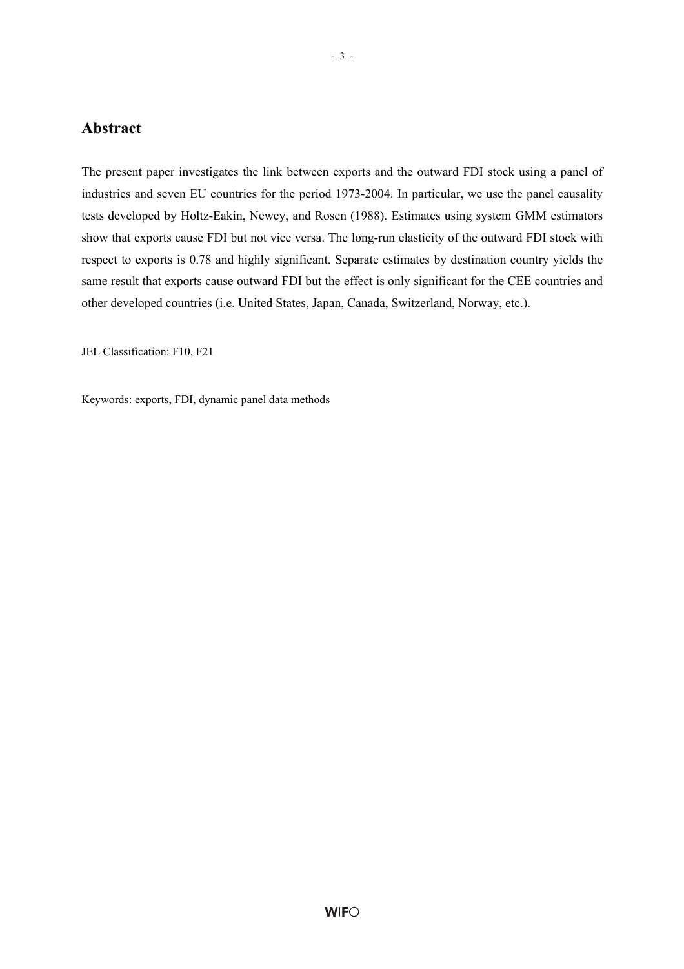#### **Abstract**

The present paper investigates the link between exports and the outward FDI stock using a panel of industries and seven EU countries for the period 1973-2004. In particular, we use the panel causality tests developed by Holtz-Eakin, Newey, and Rosen (1988). Estimates using system GMM estimators show that exports cause FDI but not vice versa. The long-run elasticity of the outward FDI stock with respect to exports is 0.78 and highly significant. Separate estimates by destination country yields the same result that exports cause outward FDI but the effect is only significant for the CEE countries and other developed countries (i.e. United States, Japan, Canada, Switzerland, Norway, etc.).

JEL Classification: F10, F21

Keywords: exports, FDI, dynamic panel data methods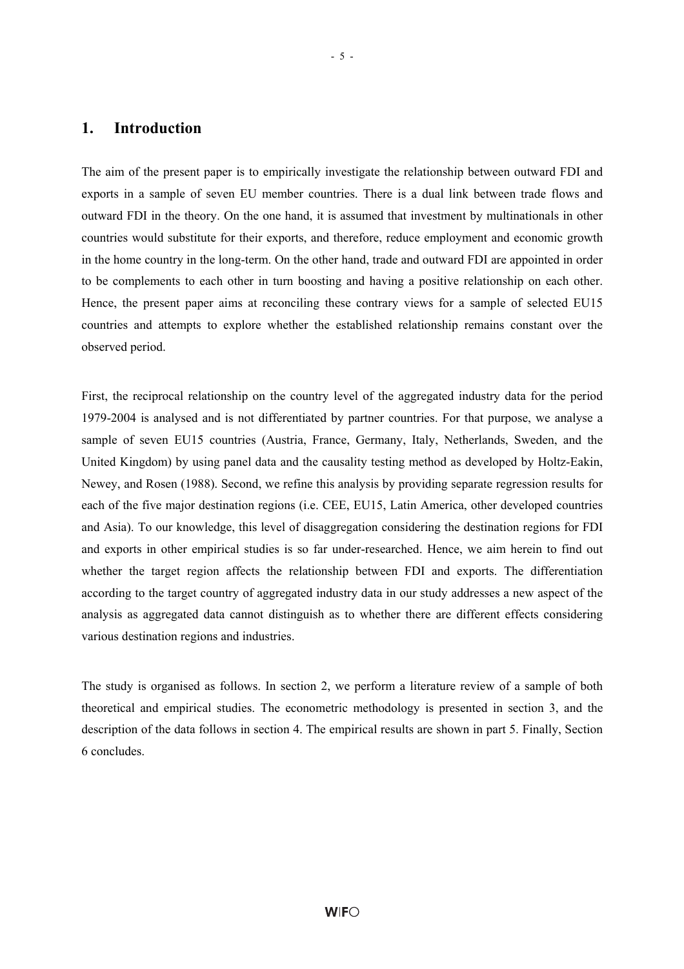#### **1. Introduction**

The aim of the present paper is to empirically investigate the relationship between outward FDI and exports in a sample of seven EU member countries. There is a dual link between trade flows and outward FDI in the theory. On the one hand, it is assumed that investment by multinationals in other countries would substitute for their exports, and therefore, reduce employment and economic growth in the home country in the long-term. On the other hand, trade and outward FDI are appointed in order to be complements to each other in turn boosting and having a positive relationship on each other. Hence, the present paper aims at reconciling these contrary views for a sample of selected EU15 countries and attempts to explore whether the established relationship remains constant over the observed period.

First, the reciprocal relationship on the country level of the aggregated industry data for the period 1979-2004 is analysed and is not differentiated by partner countries. For that purpose, we analyse a sample of seven EU15 countries (Austria, France, Germany, Italy, Netherlands, Sweden, and the United Kingdom) by using panel data and the causality testing method as developed by Holtz-Eakin, Newey, and Rosen (1988). Second, we refine this analysis by providing separate regression results for each of the five major destination regions (i.e. CEE, EU15, Latin America, other developed countries and Asia). To our knowledge, this level of disaggregation considering the destination regions for FDI and exports in other empirical studies is so far under-researched. Hence, we aim herein to find out whether the target region affects the relationship between FDI and exports. The differentiation according to the target country of aggregated industry data in our study addresses a new aspect of the analysis as aggregated data cannot distinguish as to whether there are different effects considering various destination regions and industries.

The study is organised as follows. In section 2, we perform a literature review of a sample of both theoretical and empirical studies. The econometric methodology is presented in section 3, and the description of the data follows in section 4. The empirical results are shown in part 5. Finally, Section 6 concludes.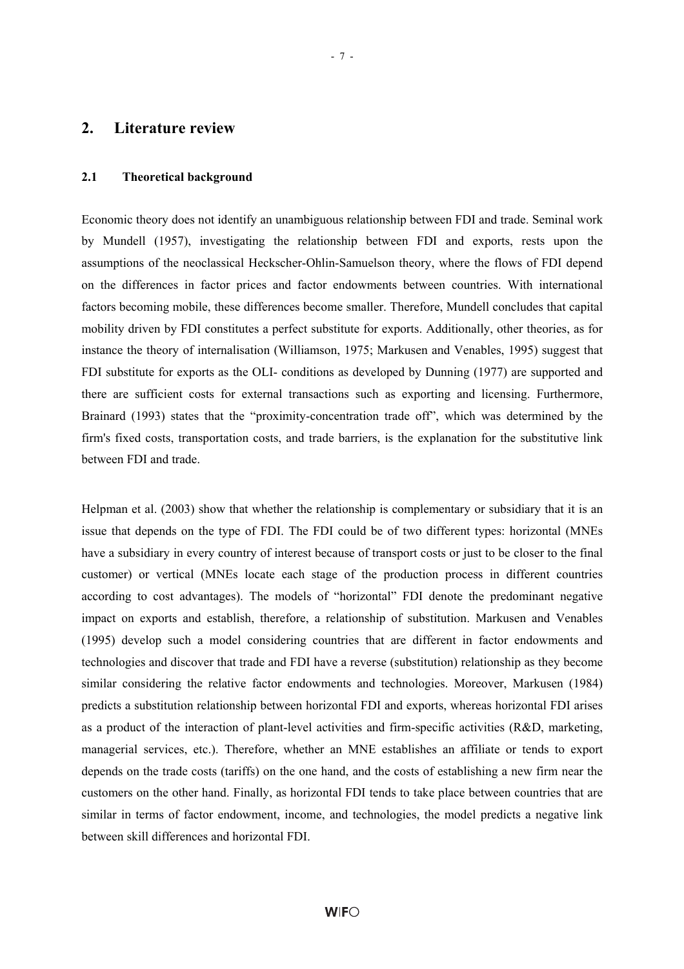#### **2.1 Theoretical background**

Economic theory does not identify an unambiguous relationship between FDI and trade. Seminal work by Mundell (1957), investigating the relationship between FDI and exports, rests upon the assumptions of the neoclassical Heckscher-Ohlin-Samuelson theory, where the flows of FDI depend on the differences in factor prices and factor endowments between countries. With international factors becoming mobile, these differences become smaller. Therefore, Mundell concludes that capital mobility driven by FDI constitutes a perfect substitute for exports. Additionally, other theories, as for instance the theory of internalisation (Williamson, 1975; Markusen and Venables, 1995) suggest that FDI substitute for exports as the OLI- conditions as developed by Dunning (1977) are supported and there are sufficient costs for external transactions such as exporting and licensing. Furthermore, Brainard (1993) states that the "proximity-concentration trade off", which was determined by the firm's fixed costs, transportation costs, and trade barriers, is the explanation for the substitutive link between FDI and trade.

Helpman et al. (2003) show that whether the relationship is complementary or subsidiary that it is an issue that depends on the type of FDI. The FDI could be of two different types: horizontal (MNEs have a subsidiary in every country of interest because of transport costs or just to be closer to the final customer) or vertical (MNEs locate each stage of the production process in different countries according to cost advantages). The models of "horizontal" FDI denote the predominant negative impact on exports and establish, therefore, a relationship of substitution. Markusen and Venables (1995) develop such a model considering countries that are different in factor endowments and technologies and discover that trade and FDI have a reverse (substitution) relationship as they become similar considering the relative factor endowments and technologies. Moreover, Markusen (1984) predicts a substitution relationship between horizontal FDI and exports, whereas horizontal FDI arises as a product of the interaction of plant-level activities and firm-specific activities (R&D, marketing, managerial services, etc.). Therefore, whether an MNE establishes an affiliate or tends to export depends on the trade costs (tariffs) on the one hand, and the costs of establishing a new firm near the customers on the other hand. Finally, as horizontal FDI tends to take place between countries that are similar in terms of factor endowment, income, and technologies, the model predicts a negative link between skill differences and horizontal FDI.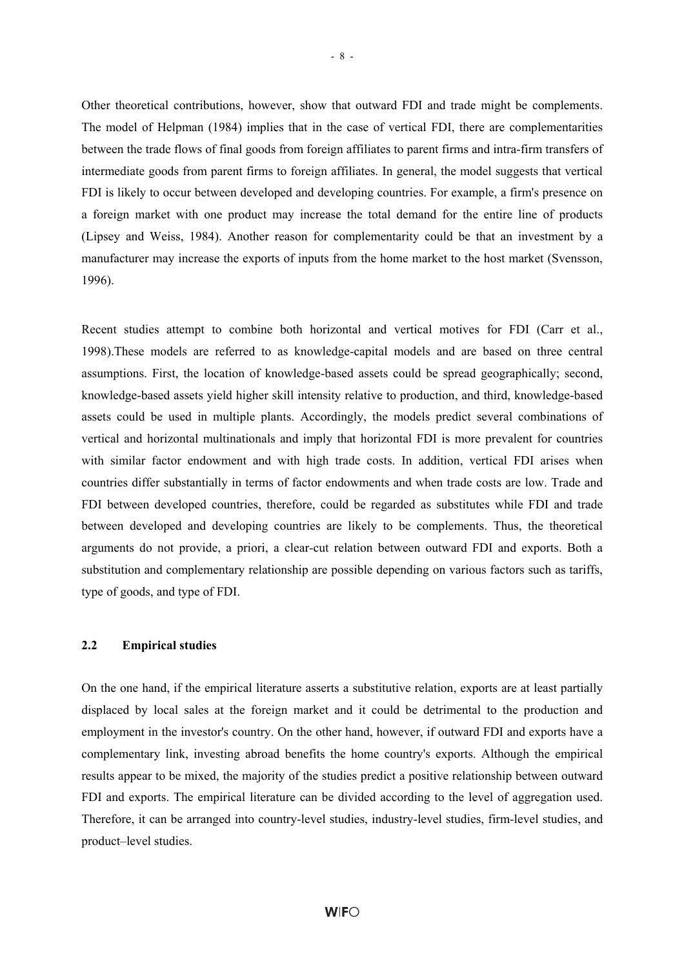Other theoretical contributions, however, show that outward FDI and trade might be complements. The model of Helpman (1984) implies that in the case of vertical FDI, there are complementarities between the trade flows of final goods from foreign affiliates to parent firms and intra-firm transfers of intermediate goods from parent firms to foreign affiliates. In general, the model suggests that vertical FDI is likely to occur between developed and developing countries. For example, a firm's presence on a foreign market with one product may increase the total demand for the entire line of products (Lipsey and Weiss, 1984). Another reason for complementarity could be that an investment by a manufacturer may increase the exports of inputs from the home market to the host market (Svensson, 1996).

Recent studies attempt to combine both horizontal and vertical motives for FDI (Carr et al., 1998).These models are referred to as knowledge-capital models and are based on three central assumptions. First, the location of knowledge-based assets could be spread geographically; second, knowledge-based assets yield higher skill intensity relative to production, and third, knowledge-based assets could be used in multiple plants. Accordingly, the models predict several combinations of vertical and horizontal multinationals and imply that horizontal FDI is more prevalent for countries with similar factor endowment and with high trade costs. In addition, vertical FDI arises when countries differ substantially in terms of factor endowments and when trade costs are low. Trade and FDI between developed countries, therefore, could be regarded as substitutes while FDI and trade between developed and developing countries are likely to be complements. Thus, the theoretical arguments do not provide, a priori, a clear-cut relation between outward FDI and exports. Both a substitution and complementary relationship are possible depending on various factors such as tariffs, type of goods, and type of FDI.

#### **2.2 Empirical studies**

On the one hand, if the empirical literature asserts a substitutive relation, exports are at least partially displaced by local sales at the foreign market and it could be detrimental to the production and employment in the investor's country. On the other hand, however, if outward FDI and exports have a complementary link, investing abroad benefits the home country's exports. Although the empirical results appear to be mixed, the majority of the studies predict a positive relationship between outward FDI and exports. The empirical literature can be divided according to the level of aggregation used. Therefore, it can be arranged into country-level studies, industry-level studies, firm-level studies, and product–level studies.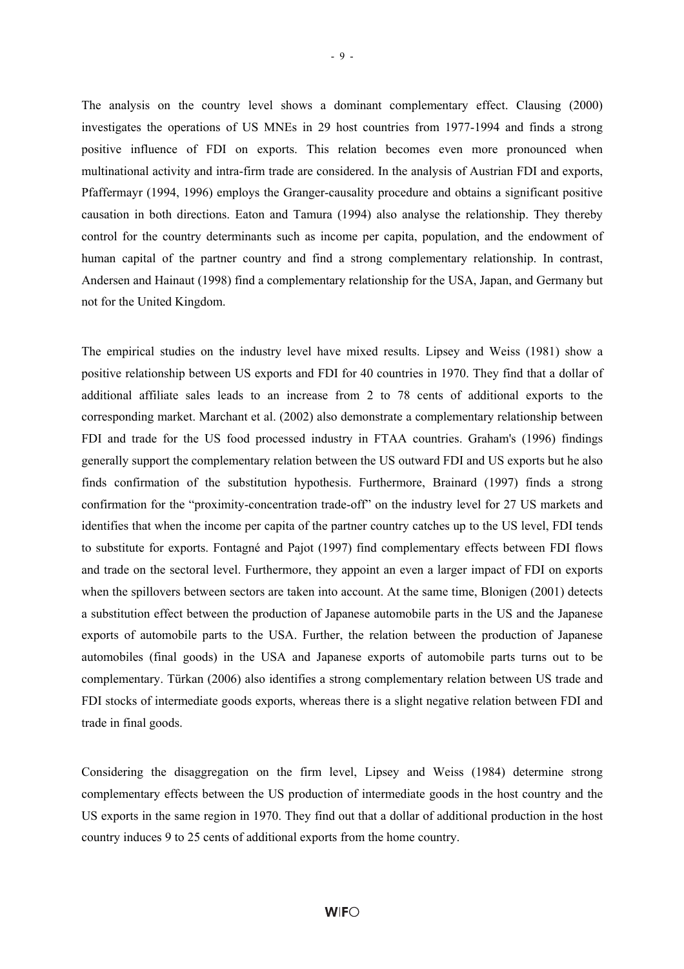The analysis on the country level shows a dominant complementary effect. Clausing (2000) investigates the operations of US MNEs in 29 host countries from 1977-1994 and finds a strong positive influence of FDI on exports. This relation becomes even more pronounced when multinational activity and intra-firm trade are considered. In the analysis of Austrian FDI and exports, Pfaffermayr (1994, 1996) employs the Granger-causality procedure and obtains a significant positive causation in both directions. Eaton and Tamura (1994) also analyse the relationship. They thereby control for the country determinants such as income per capita, population, and the endowment of human capital of the partner country and find a strong complementary relationship. In contrast, Andersen and Hainaut (1998) find a complementary relationship for the USA, Japan, and Germany but not for the United Kingdom.

The empirical studies on the industry level have mixed results. Lipsey and Weiss (1981) show a positive relationship between US exports and FDI for 40 countries in 1970. They find that a dollar of additional affiliate sales leads to an increase from 2 to 78 cents of additional exports to the corresponding market. Marchant et al. (2002) also demonstrate a complementary relationship between FDI and trade for the US food processed industry in FTAA countries. Graham's (1996) findings generally support the complementary relation between the US outward FDI and US exports but he also finds confirmation of the substitution hypothesis. Furthermore, Brainard (1997) finds a strong confirmation for the "proximity-concentration trade-off" on the industry level for 27 US markets and identifies that when the income per capita of the partner country catches up to the US level, FDI tends to substitute for exports. Fontagné and Pajot (1997) find complementary effects between FDI flows and trade on the sectoral level. Furthermore, they appoint an even a larger impact of FDI on exports when the spillovers between sectors are taken into account. At the same time, Blonigen (2001) detects a substitution effect between the production of Japanese automobile parts in the US and the Japanese exports of automobile parts to the USA. Further, the relation between the production of Japanese automobiles (final goods) in the USA and Japanese exports of automobile parts turns out to be complementary. Türkan (2006) also identifies a strong complementary relation between US trade and FDI stocks of intermediate goods exports, whereas there is a slight negative relation between FDI and trade in final goods.

Considering the disaggregation on the firm level, Lipsey and Weiss (1984) determine strong complementary effects between the US production of intermediate goods in the host country and the US exports in the same region in 1970. They find out that a dollar of additional production in the host country induces 9 to 25 cents of additional exports from the home country.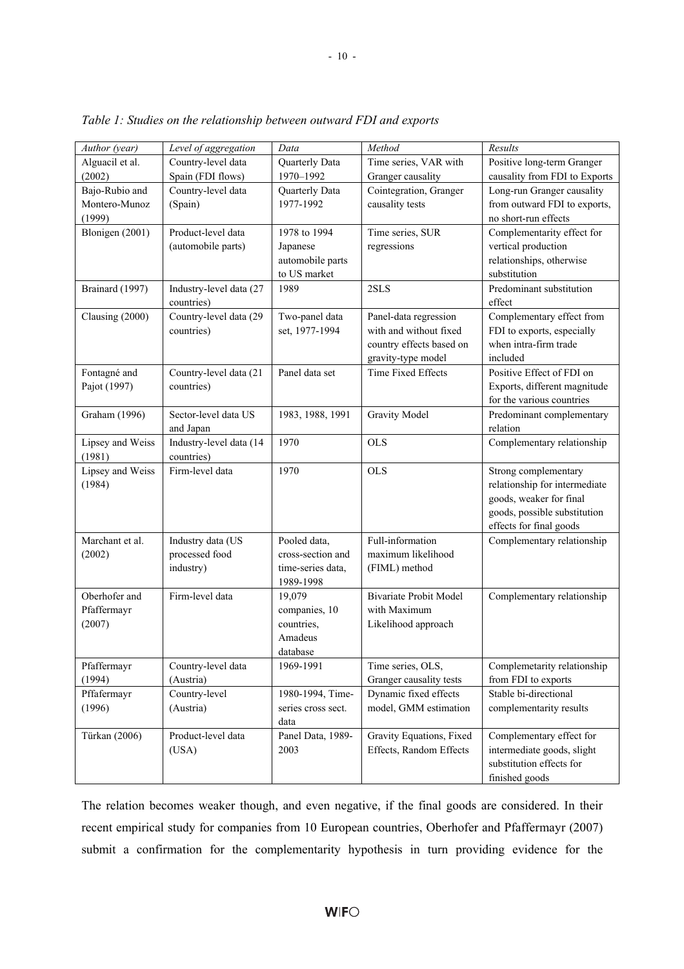| Author (year)    | Level of aggregation    | Data               | Method                        | Results                       |
|------------------|-------------------------|--------------------|-------------------------------|-------------------------------|
| Alguacil et al.  | Country-level data      | Quarterly Data     | Time series, VAR with         | Positive long-term Granger    |
| (2002)           | Spain (FDI flows)       | 1970-1992          | Granger causality             | causality from FDI to Exports |
| Bajo-Rubio and   | Country-level data      | Quarterly Data     | Cointegration, Granger        | Long-run Granger causality    |
| Montero-Munoz    | (Spain)                 | 1977-1992          | causality tests               | from outward FDI to exports,  |
| (1999)           |                         |                    |                               | no short-run effects          |
| Blonigen (2001)  | Product-level data      | 1978 to 1994       | Time series, SUR              | Complementarity effect for    |
|                  | (automobile parts)      | Japanese           | regressions                   | vertical production           |
|                  |                         | automobile parts   |                               | relationships, otherwise      |
|                  |                         | to US market       |                               | substitution                  |
| Brainard (1997)  | Industry-level data (27 | 1989               | 2SLS                          | Predominant substitution      |
|                  | countries)              |                    |                               | effect                        |
| Clausing (2000)  | Country-level data (29  | Two-panel data     | Panel-data regression         | Complementary effect from     |
|                  | countries)              | set, 1977-1994     | with and without fixed        | FDI to exports, especially    |
|                  |                         |                    | country effects based on      | when intra-firm trade         |
|                  |                         |                    | gravity-type model            | included                      |
| Fontagné and     | Country-level data (21  | Panel data set     | Time Fixed Effects            | Positive Effect of FDI on     |
| Pajot (1997)     | countries)              |                    |                               | Exports, different magnitude  |
|                  |                         |                    |                               | for the various countries     |
| Graham (1996)    | Sector-level data US    | 1983, 1988, 1991   | <b>Gravity Model</b>          | Predominant complementary     |
|                  | and Japan               |                    |                               | relation                      |
| Lipsey and Weiss | Industry-level data (14 | 1970               | <b>OLS</b>                    | Complementary relationship    |
| (1981)           | countries)              |                    |                               |                               |
| Lipsey and Weiss | Firm-level data         | 1970               | <b>OLS</b>                    | Strong complementary          |
| (1984)           |                         |                    |                               | relationship for intermediate |
|                  |                         |                    |                               | goods, weaker for final       |
|                  |                         |                    |                               | goods, possible substitution  |
|                  |                         |                    |                               | effects for final goods       |
| Marchant et al.  | Industry data (US       | Pooled data,       | Full-information              | Complementary relationship    |
| (2002)           | processed food          | cross-section and  | maximum likelihood            |                               |
|                  | industry)               | time-series data,  | (FIML) method                 |                               |
|                  |                         | 1989-1998          |                               |                               |
| Oberhofer and    | Firm-level data         | 19,079             | <b>Bivariate Probit Model</b> | Complementary relationship    |
| Pfaffermayr      |                         | companies, 10      | with Maximum                  |                               |
| (2007)           |                         | countries,         | Likelihood approach           |                               |
|                  |                         | Amadeus            |                               |                               |
|                  |                         | database           |                               |                               |
| Pfaffermayr      | Country-level data      | 1969-1991          | Time series, OLS,             | Complemetarity relationship   |
| (1994)           | (Austria)               |                    | Granger causality tests       | from FDI to exports           |
| Pffafermayr      | Country-level           | 1980-1994, Time-   | Dynamic fixed effects         | Stable bi-directional         |
| (1996)           | (Austria)               | series cross sect. | model, GMM estimation         | complementarity results       |
|                  |                         | data               |                               |                               |
|                  |                         |                    |                               |                               |
| Türkan (2006)    | Product-level data      | Panel Data, 1989-  | Gravity Equations, Fixed      | Complementary effect for      |
|                  | (USA)                   | 2003               | Effects, Random Effects       | intermediate goods, slight    |
|                  |                         |                    |                               | substitution effects for      |

*Table 1: Studies on the relationship between outward FDI and exports* 

The relation becomes weaker though, and even negative, if the final goods are considered. In their recent empirical study for companies from 10 European countries, Oberhofer and Pfaffermayr (2007) submit a confirmation for the complementarity hypothesis in turn providing evidence for the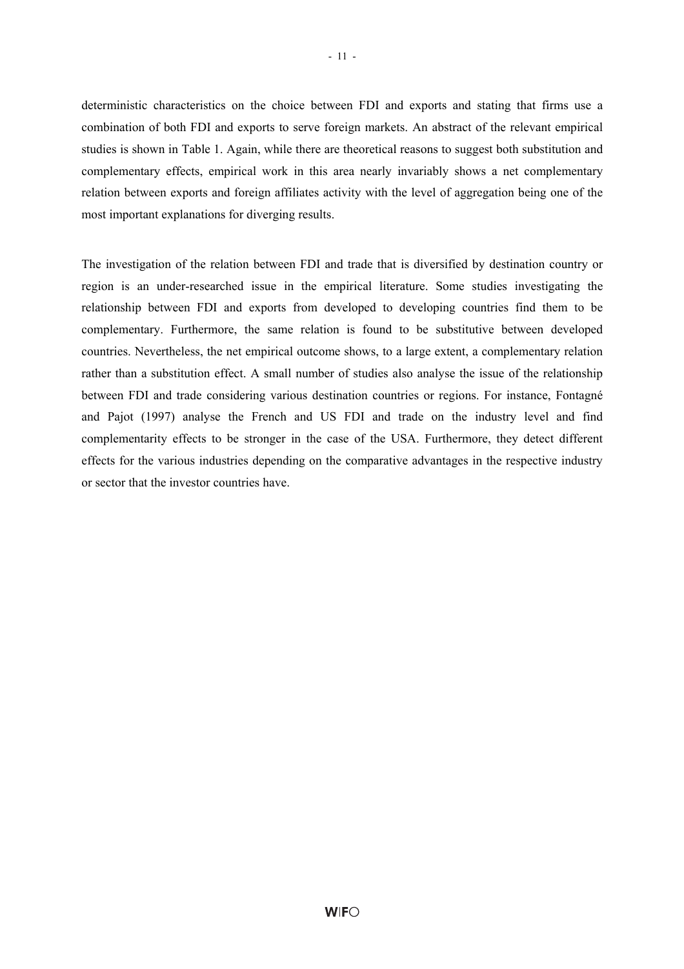deterministic characteristics on the choice between FDI and exports and stating that firms use a combination of both FDI and exports to serve foreign markets. An abstract of the relevant empirical studies is shown in Table 1. Again, while there are theoretical reasons to suggest both substitution and complementary effects, empirical work in this area nearly invariably shows a net complementary relation between exports and foreign affiliates activity with the level of aggregation being one of the most important explanations for diverging results.

The investigation of the relation between FDI and trade that is diversified by destination country or region is an under-researched issue in the empirical literature. Some studies investigating the relationship between FDI and exports from developed to developing countries find them to be complementary. Furthermore, the same relation is found to be substitutive between developed countries. Nevertheless, the net empirical outcome shows, to a large extent, a complementary relation rather than a substitution effect. A small number of studies also analyse the issue of the relationship between FDI and trade considering various destination countries or regions. For instance, Fontagné and Pajot (1997) analyse the French and US FDI and trade on the industry level and find complementarity effects to be stronger in the case of the USA. Furthermore, they detect different effects for the various industries depending on the comparative advantages in the respective industry or sector that the investor countries have.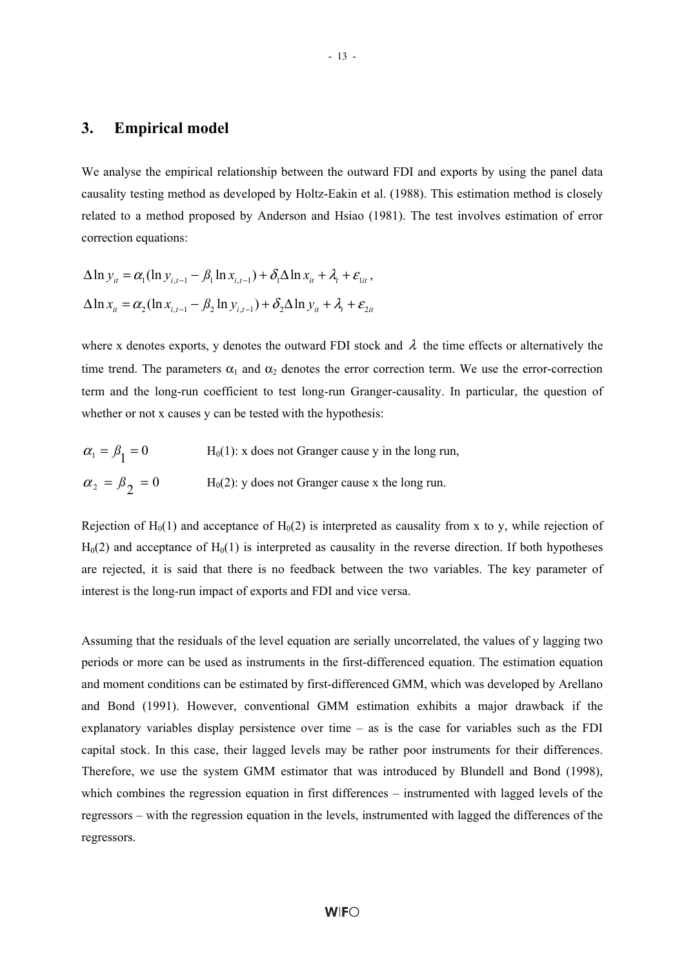#### **3. Empirical model**

We analyse the empirical relationship between the outward FDI and exports by using the panel data causality testing method as developed by Holtz-Eakin et al. (1988). This estimation method is closely related to a method proposed by Anderson and Hsiao (1981). The test involves estimation of error correction equations:

$$
\Delta \ln y_{it} = \alpha_1 (\ln y_{i,t-1} - \beta_1 \ln x_{i,t-1}) + \delta_1 \Delta \ln x_{it} + \lambda_t + \varepsilon_{1it},
$$
  

$$
\Delta \ln x_{it} = \alpha_2 (\ln x_{i,t-1} - \beta_2 \ln y_{i,t-1}) + \delta_2 \Delta \ln y_{it} + \lambda_t + \varepsilon_{2it}
$$

where x denotes exports, y denotes the outward FDI stock and  $\lambda$  the time effects or alternatively the time trend. The parameters  $\alpha_1$  and  $\alpha_2$  denotes the error correction term. We use the error-correction term and the long-run coefficient to test long-run Granger-causality. In particular, the question of whether or not x causes y can be tested with the hypothesis:

$$
\alpha_1 = \beta_1 = 0
$$
  
H<sub>0</sub>(1): x does not Granger cause y in the long run,  

$$
\alpha_2 = \beta_2 = 0
$$
H<sub>0</sub>(2): y does not Granger cause x the long run.

Rejection of  $H_0(1)$  and acceptance of  $H_0(2)$  is interpreted as causality from x to y, while rejection of  $H<sub>0</sub>(2)$  and acceptance of  $H<sub>0</sub>(1)$  is interpreted as causality in the reverse direction. If both hypotheses are rejected, it is said that there is no feedback between the two variables. The key parameter of interest is the long-run impact of exports and FDI and vice versa.

Assuming that the residuals of the level equation are serially uncorrelated, the values of y lagging two periods or more can be used as instruments in the first-differenced equation. The estimation equation and moment conditions can be estimated by first-differenced GMM, which was developed by Arellano and Bond (1991). However, conventional GMM estimation exhibits a major drawback if the explanatory variables display persistence over time  $-$  as is the case for variables such as the FDI capital stock. In this case, their lagged levels may be rather poor instruments for their differences. Therefore, we use the system GMM estimator that was introduced by Blundell and Bond (1998), which combines the regression equation in first differences – instrumented with lagged levels of the regressors – with the regression equation in the levels, instrumented with lagged the differences of the regressors.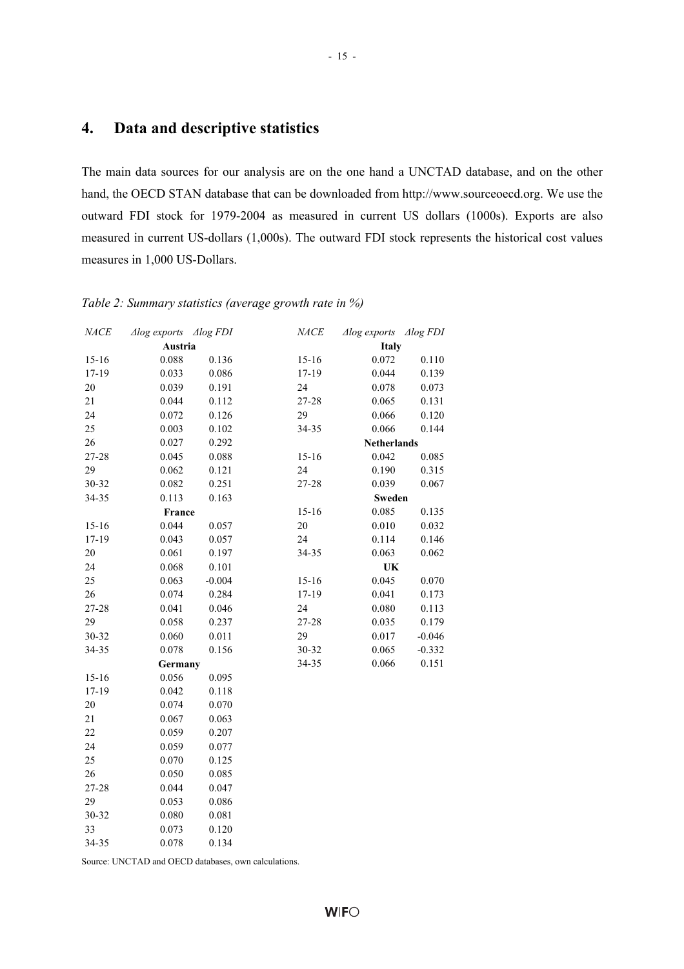### **4. Data and descriptive statistics**

The main data sources for our analysis are on the one hand a UNCTAD database, and on the other hand, the OECD STAN database that can be downloaded from http://www.sourceoecd.org. We use the outward FDI stock for 1979-2004 as measured in current US dollars (1000s). Exports are also measured in current US-dollars (1,000s). The outward FDI stock represents the historical cost values measures in 1,000 US-Dollars.

| <b>NACE</b> | $\triangle$ log exports | $\triangle$ log FDI | <b>NACE</b> | $\triangle$ log exports | $\triangle$ log FDI |
|-------------|-------------------------|---------------------|-------------|-------------------------|---------------------|
|             | Austria                 |                     |             | <b>Italy</b>            |                     |
| 15-16       | 0.088                   | 0.136               | $15 - 16$   | 0.072                   | 0.110               |
| 17-19       | 0.033                   | 0.086               | 17-19       | 0.044                   | 0.139               |
| 20          | 0.039                   | 0.191               | 24          | 0.078                   | 0.073               |
| 21          | 0.044                   | 0.112               | 27-28       | 0.065                   | 0.131               |
| 24          | 0.072                   | 0.126               | 29          | 0.066                   | 0.120               |
| 25          | 0.003                   | 0.102               | 34-35       | 0.066                   | 0.144               |
| 26          | 0.027                   | 0.292               |             | <b>Netherlands</b>      |                     |
| 27-28       | 0.045                   | 0.088               | $15 - 16$   | 0.042                   | 0.085               |
| 29          | 0.062                   | 0.121               | 24          | 0.190                   | 0.315               |
| 30-32       | 0.082                   | 0.251               | 27-28       | 0.039                   | 0.067               |
| 34-35       | 0.113                   | 0.163               |             | <b>Sweden</b>           |                     |
|             | France                  |                     | $15 - 16$   | 0.085                   | 0.135               |
| 15-16       | 0.044                   | 0.057               | 20          | 0.010                   | 0.032               |
| 17-19       | 0.043                   | 0.057               | 24          | 0.114                   | 0.146               |
| 20          | 0.061                   | 0.197               | 34-35       | 0.063                   | 0.062               |
| 24          | 0.068                   | 0.101               |             | UK                      |                     |
| 25          | 0.063                   | $-0.004$            | $15 - 16$   | 0.045                   | 0.070               |
| 26          | 0.074                   | 0.284               | 17-19       | 0.041                   | 0.173               |
| 27-28       | 0.041                   | 0.046               | 24          | 0.080                   | 0.113               |
| 29          | 0.058                   | 0.237               | 27-28       | 0.035                   | 0.179               |
| 30-32       | 0.060                   | 0.011               | 29          | 0.017                   | $-0.046$            |
| 34-35       | 0.078                   | 0.156               | 30-32       | 0.065                   | $-0.332$            |
|             | Germany                 |                     | 34-35       | 0.066                   | 0.151               |
| 15-16       | 0.056                   | 0.095               |             |                         |                     |
| $17 - 19$   | 0.042                   | 0.118               |             |                         |                     |
| 20          | 0.074                   | 0.070               |             |                         |                     |
| 21          | 0.067                   | 0.063               |             |                         |                     |
| 22          | 0.059                   | 0.207               |             |                         |                     |
| 24          | 0.059                   | 0.077               |             |                         |                     |
| 25          | 0.070                   | 0.125               |             |                         |                     |
| 26          | 0.050                   | 0.085               |             |                         |                     |
| 27-28       | 0.044                   | 0.047               |             |                         |                     |
| 29          | 0.053                   | 0.086               |             |                         |                     |
| 30-32       | 0.080                   | 0.081               |             |                         |                     |
| 33          | 0.073                   | 0.120               |             |                         |                     |
| 34-35       | 0.078                   | 0.134               |             |                         |                     |
|             |                         |                     |             |                         |                     |

*Table 2: Summary statistics (average growth rate in %)* 

Source: UNCTAD and OECD databases, own calculations.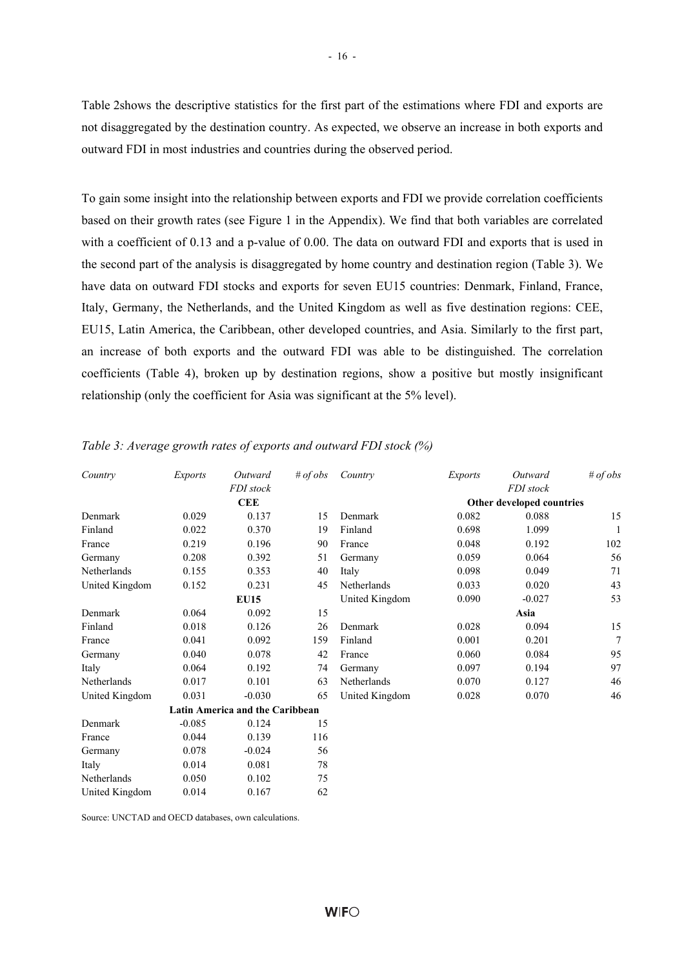Table 2shows the descriptive statistics for the first part of the estimations where FDI and exports are not disaggregated by the destination country. As expected, we observe an increase in both exports and outward FDI in most industries and countries during the observed period.

To gain some insight into the relationship between exports and FDI we provide correlation coefficients based on their growth rates (see Figure 1 in the Appendix). We find that both variables are correlated with a coefficient of 0.13 and a p-value of 0.00. The data on outward FDI and exports that is used in the second part of the analysis is disaggregated by home country and destination region (Table 3). We have data on outward FDI stocks and exports for seven EU15 countries: Denmark, Finland, France, Italy, Germany, the Netherlands, and the United Kingdom as well as five destination regions: CEE, EU15, Latin America, the Caribbean, other developed countries, and Asia. Similarly to the first part, an increase of both exports and the outward FDI was able to be distinguished. The correlation coefficients (Table 4), broken up by destination regions, show a positive but mostly insignificant relationship (only the coefficient for Asia was significant at the 5% level).

| Country        | Exports  | Outward                         | # of obs | Country        | Exports | Outward                   | # of obs     |
|----------------|----------|---------------------------------|----------|----------------|---------|---------------------------|--------------|
|                |          | FDI stock                       |          |                |         | FDI stock                 |              |
|                |          | <b>CEE</b>                      |          |                |         | Other developed countries |              |
| Denmark        | 0.029    | 0.137                           | 15       | Denmark        | 0.082   | 0.088                     | 15           |
| Finland        | 0.022    | 0.370                           | 19       | Finland        | 0.698   | 1.099                     | $\mathbf{1}$ |
| France         | 0.219    | 0.196                           | 90       | France         | 0.048   | 0.192                     | 102          |
| Germany        | 0.208    | 0.392                           | 51       | Germany        | 0.059   | 0.064                     | 56           |
| Netherlands    | 0.155    | 0.353                           | 40       | Italy          | 0.098   | 0.049                     | 71           |
| United Kingdom | 0.152    | 0.231                           | 45       | Netherlands    | 0.033   | 0.020                     | 43           |
|                |          | <b>EU15</b>                     |          | United Kingdom | 0.090   | $-0.027$                  | 53           |
| Denmark        | 0.064    | 0.092                           | 15       |                |         | Asia                      |              |
| Finland        | 0.018    | 0.126                           | 26       | Denmark        | 0.028   | 0.094                     | 15           |
| France         | 0.041    | 0.092                           | 159      | Finland        | 0.001   | 0.201                     | $\tau$       |
| Germany        | 0.040    | 0.078                           | 42       | France         | 0.060   | 0.084                     | 95           |
| Italy          | 0.064    | 0.192                           | 74       | Germany        | 0.097   | 0.194                     | 97           |
| Netherlands    | 0.017    | 0.101                           | 63       | Netherlands    | 0.070   | 0.127                     | 46           |
| United Kingdom | 0.031    | $-0.030$                        | 65       | United Kingdom | 0.028   | 0.070                     | 46           |
|                |          | Latin America and the Caribbean |          |                |         |                           |              |
| Denmark        | $-0.085$ | 0.124                           | 15       |                |         |                           |              |
| France         | 0.044    | 0.139                           | 116      |                |         |                           |              |
| Germany        | 0.078    | $-0.024$                        | 56       |                |         |                           |              |
| Italy          | 0.014    | 0.081                           | 78       |                |         |                           |              |
| Netherlands    | 0.050    | 0.102                           | 75       |                |         |                           |              |

| Table 3: Average growth rates of exports and outward FDI stock (%) |  |  |  |
|--------------------------------------------------------------------|--|--|--|
|                                                                    |  |  |  |

Source: UNCTAD and OECD databases, own calculations.

United Kingdom 0.014 0.167 62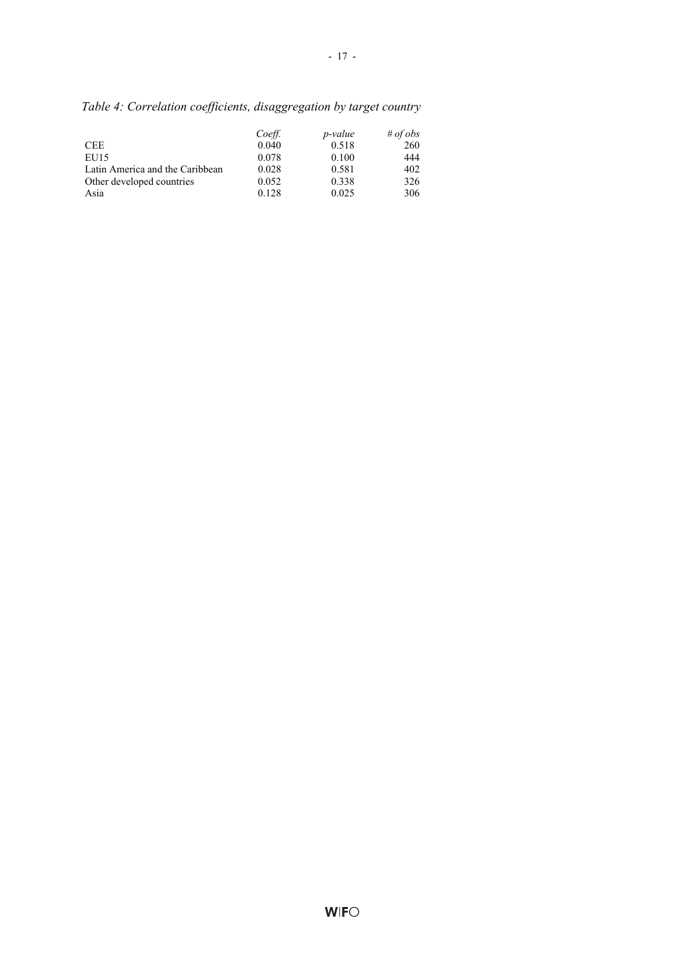*Table 4: Correlation coefficients, disaggregation by target country* 

|                                 | Coeff. | <i>p</i> -value | # of obs |
|---------------------------------|--------|-----------------|----------|
| <b>CEE</b>                      | 0.040  | 0.518           | 260      |
| EU15                            | 0.078  | 0.100           | 444      |
| Latin America and the Caribbean | 0.028  | 0.581           | 402      |
| Other developed countries       | 0.052  | 0.338           | 326      |
| Asia                            | 0.128  | 0.025           | 306      |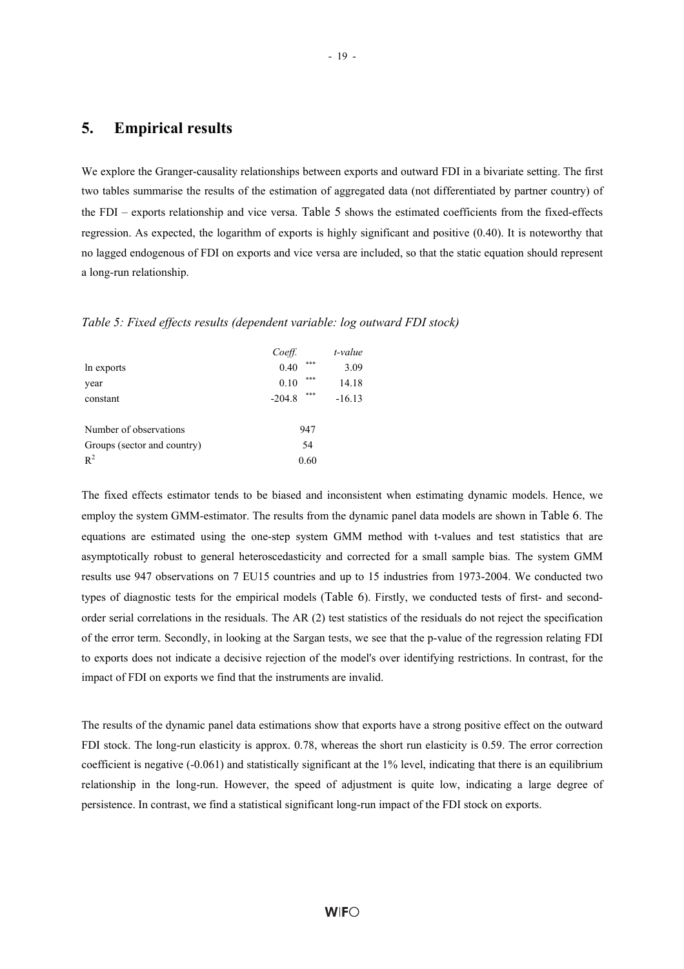#### **5. Empirical results**

We explore the Granger-causality relationships between exports and outward FDI in a bivariate setting. The first two tables summarise the results of the estimation of aggregated data (not differentiated by partner country) of the FDI – exports relationship and vice versa. Table 5 shows the estimated coefficients from the fixed-effects regression. As expected, the logarithm of exports is highly significant and positive (0.40). It is noteworthy that no lagged endogenous of FDI on exports and vice versa are included, so that the static equation should represent a long-run relationship.

|                             | Coeff.          | t-value  |
|-----------------------------|-----------------|----------|
| In exports                  | ***<br>0.40     | 3.09     |
| year                        | ***<br>0.10     | 14.18    |
| constant                    | ***<br>$-204.8$ | $-16.13$ |
| Number of observations      | 947             |          |
| Groups (sector and country) | 54              |          |
| $R^2$                       | 0.60            |          |

*Table 5: Fixed effects results (dependent variable: log outward FDI stock)* 

The fixed effects estimator tends to be biased and inconsistent when estimating dynamic models. Hence, we employ the system GMM-estimator. The results from the dynamic panel data models are shown in Table 6. The equations are estimated using the one-step system GMM method with t-values and test statistics that are asymptotically robust to general heteroscedasticity and corrected for a small sample bias. The system GMM results use 947 observations on 7 EU15 countries and up to 15 industries from 1973-2004. We conducted two types of diagnostic tests for the empirical models (Table 6). Firstly, we conducted tests of first- and secondorder serial correlations in the residuals. The AR (2) test statistics of the residuals do not reject the specification of the error term. Secondly, in looking at the Sargan tests, we see that the p-value of the regression relating FDI to exports does not indicate a decisive rejection of the model's over identifying restrictions. In contrast, for the impact of FDI on exports we find that the instruments are invalid.

The results of the dynamic panel data estimations show that exports have a strong positive effect on the outward FDI stock. The long-run elasticity is approx. 0.78, whereas the short run elasticity is 0.59. The error correction coefficient is negative (-0.061) and statistically significant at the 1% level, indicating that there is an equilibrium relationship in the long-run. However, the speed of adjustment is quite low, indicating a large degree of persistence. In contrast, we find a statistical significant long-run impact of the FDI stock on exports.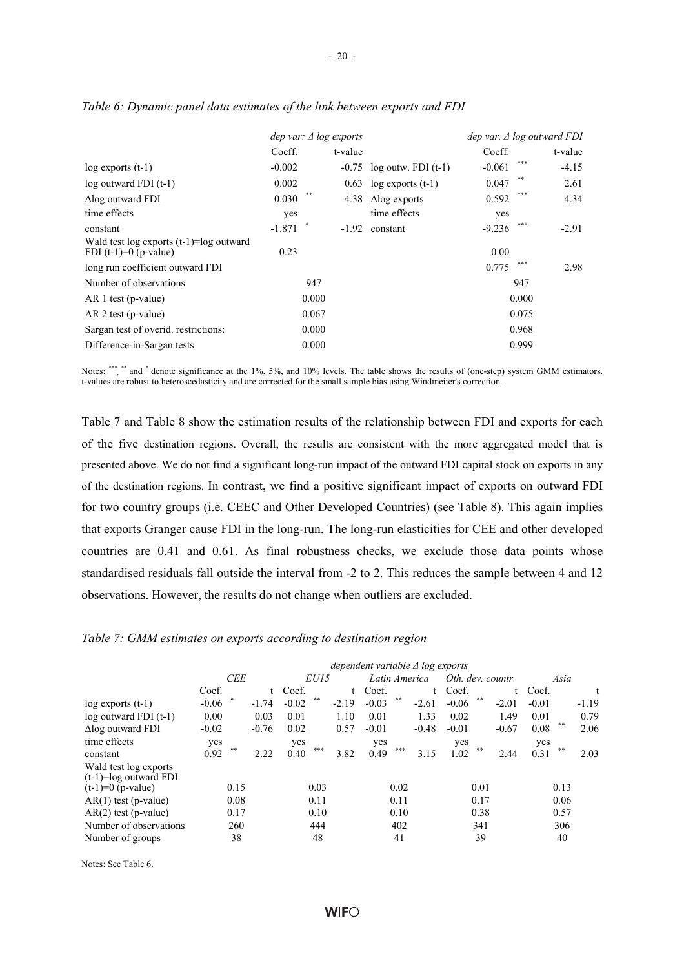|                                                                        | dep var: $\triangle$ log exports |       |         |                          | $dep$ var. $\triangle$ log outward FDI |       |         |
|------------------------------------------------------------------------|----------------------------------|-------|---------|--------------------------|----------------------------------------|-------|---------|
|                                                                        | Coeff.                           |       | t-value |                          | Coeff.                                 |       | t-value |
| $log$ exports $(t-1)$                                                  | $-0.002$                         |       | $-0.75$ | $log outw$ . FDI $(t-1)$ | $-0.061$                               | ***   | $-4.15$ |
| $log$ outward FDI $(t-1)$                                              | 0.002                            |       | 0.63    | $log$ exports $(t-1)$    | 0.047                                  | **    | 2.61    |
| $\Delta$ log outward FDI                                               | 0.030                            |       | 4.38    | $\Delta$ log exports     | 0.592                                  | ***   | 4.34    |
| time effects                                                           | yes                              |       |         | time effects             | yes                                    |       |         |
| constant                                                               | $-1.871$                         |       | $-1.92$ | constant                 | $-9.236$                               | ***   | $-2.91$ |
| Wald test $log$ exports $(t-1)=log$ outward<br>FDI $(t-1)=0$ (p-value) | 0.23                             |       |         |                          | 0.00                                   |       |         |
| long run coefficient outward FDI                                       |                                  |       |         |                          | 0.775                                  |       | 2.98    |
| Number of observations                                                 |                                  | 947   |         |                          |                                        | 947   |         |
| $AR 1$ test (p-value)                                                  |                                  | 0.000 |         |                          |                                        | 0.000 |         |
| $AR$ 2 test (p-value)                                                  |                                  | 0.067 |         |                          |                                        | 0.075 |         |
| Sargan test of overid. restrictions:                                   |                                  | 0.000 |         |                          |                                        | 0.968 |         |
| Difference-in-Sargan tests                                             |                                  | 0.000 |         |                          |                                        | 0.999 |         |

#### *Table 6: Dynamic panel data estimates of the link between exports and FDI*

Notes: \*\*\*, \*\* and \* denote significance at the 1%, 5%, and 10% levels. The table shows the results of (one-step) system GMM estimators. t-values are robust to heteroscedasticity and are corrected for the small sample bias using Windmeijer's correction.

Table 7 and Table 8 show the estimation results of the relationship between FDI and exports for each of the five destination regions. Overall, the results are consistent with the more aggregated model that is presented above. We do not find a significant long-run impact of the outward FDI capital stock on exports in any of the destination regions. In contrast, we find a positive significant impact of exports on outward FDI for two country groups (i.e. CEEC and Other Developed Countries) (see Table 8). This again implies that exports Granger cause FDI in the long-run. The long-run elasticities for CEE and other developed countries are 0.41 and 0.61. As final robustness checks, we exclude those data points whose standardised residuals fall outside the interval from -2 to 2. This reduces the sample between 4 and 12 observations. However, the results do not change when outliers are excluded.

#### *Table 7: GMM estimates on exports according to destination region*

|                                                   | dependent variable $\Delta$ log exports |               |         |             |      |         |               |      |         |                   |      |              |         |       |         |
|---------------------------------------------------|-----------------------------------------|---------------|---------|-------------|------|---------|---------------|------|---------|-------------------|------|--------------|---------|-------|---------|
|                                                   | <b>CEE</b>                              |               |         | <i>EU15</i> |      |         | Latin America |      |         | Oth. dev. countr. |      |              | Asia    |       |         |
|                                                   | Coef.                                   |               | t.      | Coef.       |      |         | Coef.         |      | t.      | Coef.             |      | $^{\dagger}$ | Coef.   |       |         |
| $log$ exports $(t-1)$                             | $-0.06$                                 | $\frac{1}{2}$ | $-1.74$ | $-0.02$     | **   | $-2.19$ | $-0.03$       | **   | $-2.61$ | $-0.06$           | **   | $-2.01$      | $-0.01$ |       | $-1.19$ |
| $log$ outward FDI $(t-1)$                         | 0.00                                    |               | 0.03    | 0.01        |      | 1.10    | 0.01          |      | 1.33    | 0.02              |      | 1.49         | 0.01    |       | 0.79    |
| $\Delta$ log outward FDI                          | $-0.02$                                 |               | $-0.76$ | 0.02        |      | 0.57    | $-0.01$       |      | $-0.48$ | $-0.01$           |      | $-0.67$      | 0.08    | **    | 2.06    |
| time effects                                      | yes                                     |               |         | yes         |      |         | yes           |      |         | yes               |      |              | yes     |       |         |
| constant                                          | 0.92                                    | **            | 2.22    | 0.40        | ***  | 3.82    | 0.49          | ***  | 3.15    | 1.02              | **   | 2.44         | 0.31    | $* *$ | 2.03    |
| Wald test log exports<br>$(t-1)=\log$ outward FDI |                                         |               |         |             |      |         |               |      |         |                   |      |              |         |       |         |
| $(t-1)=0$ (p-value)                               |                                         | 0.15          |         |             | 0.03 |         |               | 0.02 |         |                   | 0.01 |              |         | 0.13  |         |
| $AR(1)$ test (p-value)                            |                                         | 0.08          |         |             | 0.11 |         |               | 0.11 |         |                   | 0.17 |              |         | 0.06  |         |
| $AR(2)$ test (p-value)                            |                                         | 0.17          |         |             | 0.10 |         |               | 0.10 |         |                   | 0.38 |              |         | 0.57  |         |
| Number of observations                            |                                         | 260           |         |             | 444  |         |               | 402  |         |                   | 341  |              |         | 306   |         |
| Number of groups                                  |                                         | 38            |         |             | 48   |         |               | 41   |         |                   | 39   |              |         | 40    |         |

Notes: See Table 6.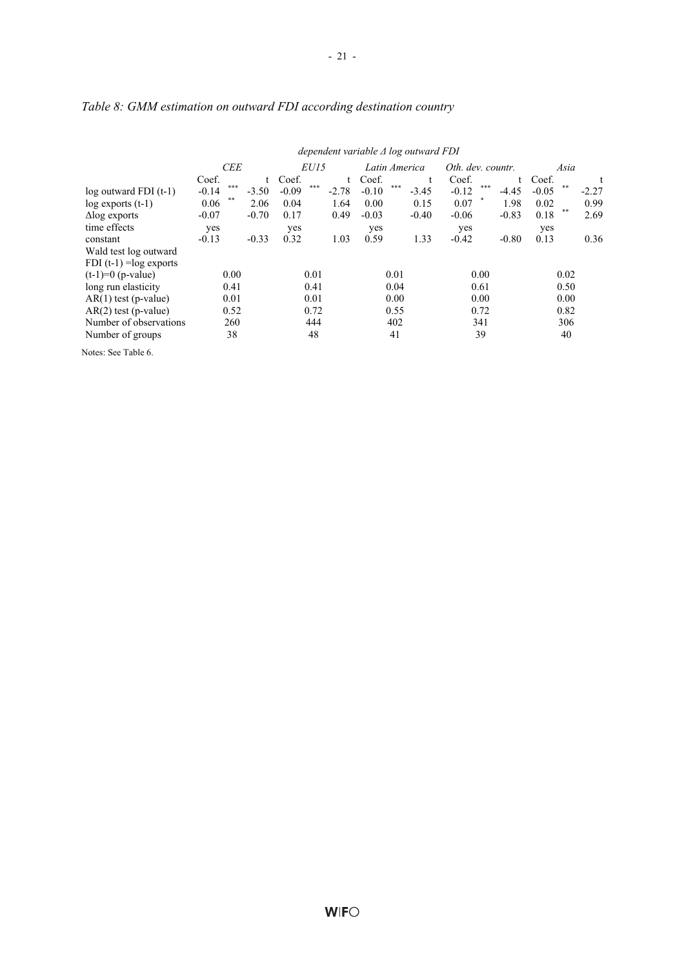|                           | dependent variable $\Delta$ log outward FDI |         |              |               |         |      |                   |              |         |         |      |         |
|---------------------------|---------------------------------------------|---------|--------------|---------------|---------|------|-------------------|--------------|---------|---------|------|---------|
|                           | <b>CEE</b>                                  |         | <i>EU15</i>  | Latin America |         |      | Oth. dev. countr. |              | Asia    |         |      |         |
|                           | Coef.<br>***                                |         | Coef.<br>*** |               | Coef.   | ***  | t                 | Coef.<br>*** | t       | Coef.   | **   | t       |
| $log$ outward FDI $(t-1)$ | $-0.14$<br>**                               | $-3.50$ | $-0.09$      | $-2.78$       | $-0.10$ |      | $-3.45$           | $-0.12$      | $-4.45$ | $-0.05$ |      | $-2.27$ |
| $log$ exports $(t-1)$     | 0.06                                        | 2.06    | 0.04         | 1.64          | 0.00    |      | 0.15              | 0.07         | 1.98    | 0.02    |      | 0.99    |
| $\Delta$ log exports      | $-0.07$                                     | $-0.70$ | 0.17         | 0.49          | $-0.03$ |      | $-0.40$           | $-0.06$      | $-0.83$ | 0.18    | **   | 2.69    |
| time effects              | yes                                         |         | yes          |               | yes     |      |                   | yes          |         | yes     |      |         |
| constant                  | $-0.13$                                     | $-0.33$ | 0.32         | 1.03          | 0.59    |      | 1.33              | $-0.42$      | $-0.80$ | 0.13    |      | 0.36    |
| Wald test log outward     |                                             |         |              |               |         |      |                   |              |         |         |      |         |
| FDI $(t-1)$ =log exports  |                                             |         |              |               |         |      |                   |              |         |         |      |         |
| $(t-1)=0$ (p-value)       | 0.00                                        |         | 0.01         |               |         | 0.01 |                   | 0.00         |         |         | 0.02 |         |
| long run elasticity       | 0.41                                        |         | 0.41         |               | 0.04    |      | 0.61              |              | 0.50    |         |      |         |
| $AR(1)$ test (p-value)    | 0.01                                        |         | 0.01         |               | 0.00    |      |                   | 0.00         |         |         | 0.00 |         |
| $AR(2)$ test (p-value)    | 0.52                                        |         | 0.72         |               |         | 0.55 |                   | 0.72         |         |         | 0.82 |         |
| Number of observations    | 260                                         |         | 444          |               |         | 402  |                   | 341          |         |         | 306  |         |
| Number of groups          | 38                                          |         | 48           |               | 41      |      | 39                |              | 40      |         |      |         |

### *Table 8: GMM estimation on outward FDI according destination country*

Notes: See Table 6.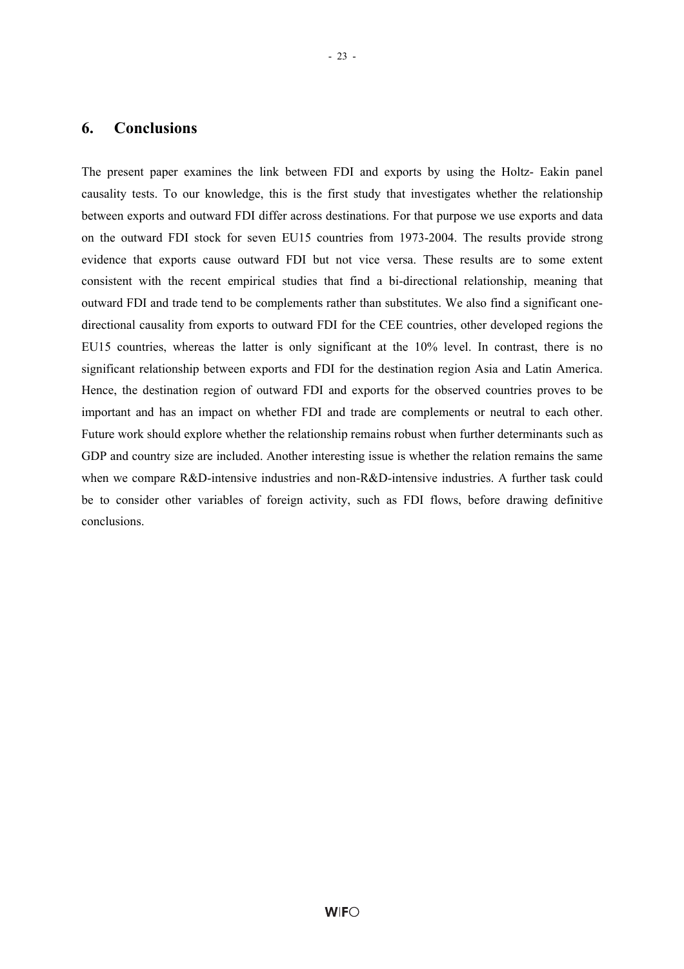#### **6. Conclusions**

The present paper examines the link between FDI and exports by using the Holtz- Eakin panel causality tests. To our knowledge, this is the first study that investigates whether the relationship between exports and outward FDI differ across destinations. For that purpose we use exports and data on the outward FDI stock for seven EU15 countries from 1973-2004. The results provide strong evidence that exports cause outward FDI but not vice versa. These results are to some extent consistent with the recent empirical studies that find a bi-directional relationship, meaning that outward FDI and trade tend to be complements rather than substitutes. We also find a significant onedirectional causality from exports to outward FDI for the CEE countries, other developed regions the EU15 countries, whereas the latter is only significant at the 10% level. In contrast, there is no significant relationship between exports and FDI for the destination region Asia and Latin America. Hence, the destination region of outward FDI and exports for the observed countries proves to be important and has an impact on whether FDI and trade are complements or neutral to each other. Future work should explore whether the relationship remains robust when further determinants such as GDP and country size are included. Another interesting issue is whether the relation remains the same when we compare R&D-intensive industries and non-R&D-intensive industries. A further task could be to consider other variables of foreign activity, such as FDI flows, before drawing definitive conclusions.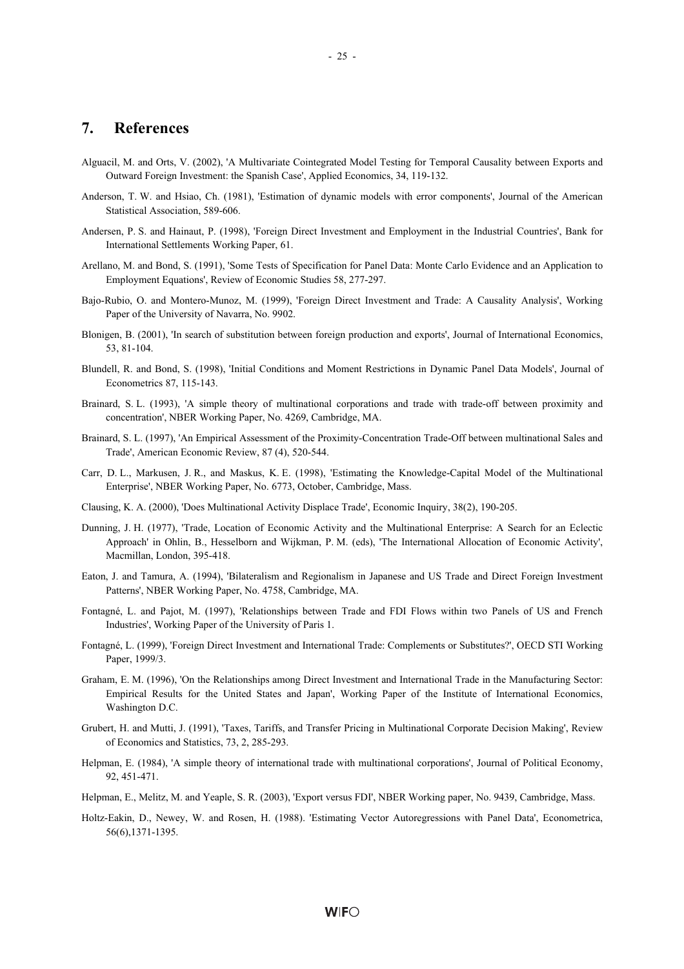- Alguacil, M. and Orts, V. (2002), 'A Multivariate Cointegrated Model Testing for Temporal Causality between Exports and Outward Foreign Investment: the Spanish Case', Applied Economics, 34, 119-132.
- Anderson, T. W. and Hsiao, Ch. (1981), 'Estimation of dynamic models with error components', Journal of the American Statistical Association, 589-606.
- Andersen, P. S. and Hainaut, P. (1998), 'Foreign Direct Investment and Employment in the Industrial Countries', Bank for International Settlements Working Paper, 61.
- Arellano, M. and Bond, S. (1991), 'Some Tests of Specification for Panel Data: Monte Carlo Evidence and an Application to Employment Equations', Review of Economic Studies 58, 277-297.
- Bajo-Rubio, O. and Montero-Munoz, M. (1999), 'Foreign Direct Investment and Trade: A Causality Analysis', Working Paper of the University of Navarra, No. 9902.
- Blonigen, B. (2001), 'In search of substitution between foreign production and exports', Journal of International Economics, 53, 81-104.
- Blundell, R. and Bond, S. (1998), 'Initial Conditions and Moment Restrictions in Dynamic Panel Data Models', Journal of Econometrics 87, 115-143.
- Brainard, S. L. (1993), 'A simple theory of multinational corporations and trade with trade-off between proximity and concentration', NBER Working Paper, No. 4269, Cambridge, MA.
- Brainard, S. L. (1997), 'An Empirical Assessment of the Proximity-Concentration Trade-Off between multinational Sales and Trade', American Economic Review, 87 (4), 520-544.
- Carr, D. L., Markusen, J. R., and Maskus, K. E. (1998), 'Estimating the Knowledge-Capital Model of the Multinational Enterprise', NBER Working Paper, No. 6773, October, Cambridge, Mass.
- Clausing, K. A. (2000), 'Does Multinational Activity Displace Trade', Economic Inquiry, 38(2), 190-205.
- Dunning, J. H. (1977), 'Trade, Location of Economic Activity and the Multinational Enterprise: A Search for an Eclectic Approach' in Ohlin, B., Hesselborn and Wijkman, P. M. (eds), 'The International Allocation of Economic Activity', Macmillan, London, 395-418.
- Eaton, J. and Tamura, A. (1994), 'Bilateralism and Regionalism in Japanese and US Trade and Direct Foreign Investment Patterns', NBER Working Paper, No. 4758, Cambridge, MA.
- Fontagné, L. and Pajot, M. (1997), 'Relationships between Trade and FDI Flows within two Panels of US and French Industries', Working Paper of the University of Paris 1.
- Fontagné, L. (1999), 'Foreign Direct Investment and International Trade: Complements or Substitutes?', OECD STI Working Paper, 1999/3.
- Graham, E. M. (1996), 'On the Relationships among Direct Investment and International Trade in the Manufacturing Sector: Empirical Results for the United States and Japan', Working Paper of the Institute of International Economics, Washington D.C.
- Grubert, H. and Mutti, J. (1991), 'Taxes, Tariffs, and Transfer Pricing in Multinational Corporate Decision Making', Review of Economics and Statistics, 73, 2, 285-293.
- Helpman, E. (1984), 'A simple theory of international trade with multinational corporations', Journal of Political Economy, 92, 451-471.
- Helpman, E., Melitz, M. and Yeaple, S. R. (2003), 'Export versus FDI', NBER Working paper, No. 9439, Cambridge, Mass.
- Holtz-Eakin, D., Newey, W. and Rosen, H. (1988). 'Estimating Vector Autoregressions with Panel Data', Econometrica, 56(6),1371-1395.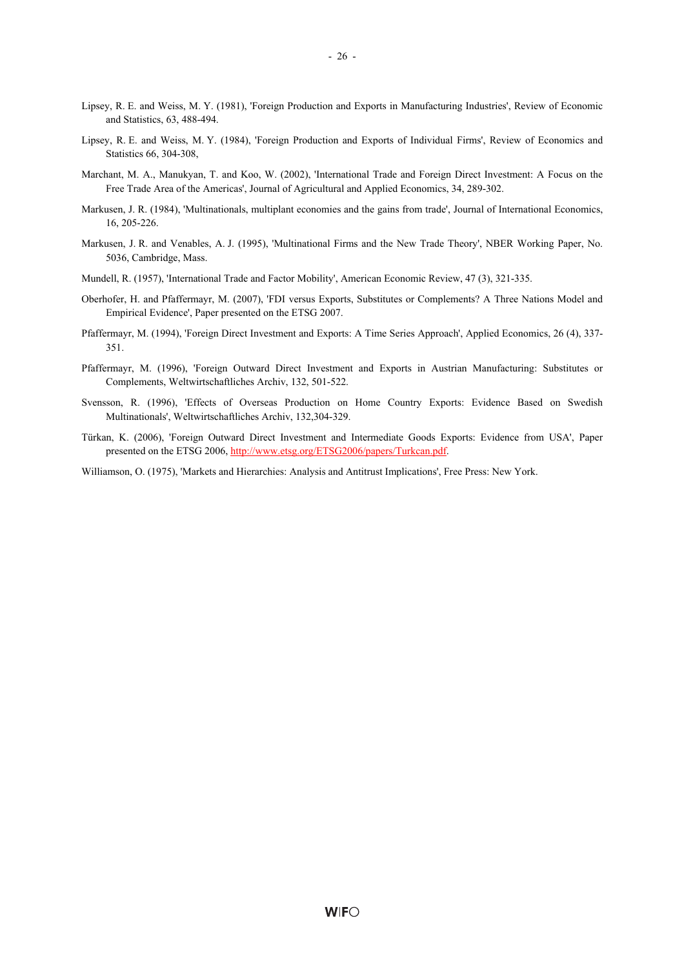- Lipsey, R. E. and Weiss, M. Y. (1981), 'Foreign Production and Exports in Manufacturing Industries', Review of Economic and Statistics, 63, 488-494.
- Lipsey, R. E. and Weiss, M. Y. (1984), 'Foreign Production and Exports of Individual Firms', Review of Economics and Statistics 66, 304-308,
- Marchant, M. A., Manukyan, T. and Koo, W. (2002), 'International Trade and Foreign Direct Investment: A Focus on the Free Trade Area of the Americas', Journal of Agricultural and Applied Economics, 34, 289-302.
- Markusen, J. R. (1984), 'Multinationals, multiplant economies and the gains from trade', Journal of International Economics, 16, 205-226.
- Markusen, J. R. and Venables, A. J. (1995), 'Multinational Firms and the New Trade Theory', NBER Working Paper, No. 5036, Cambridge, Mass.
- Mundell, R. (1957), 'International Trade and Factor Mobility', American Economic Review, 47 (3), 321-335.
- Oberhofer, H. and Pfaffermayr, M. (2007), 'FDI versus Exports, Substitutes or Complements? A Three Nations Model and Empirical Evidence', Paper presented on the ETSG 2007.
- Pfaffermayr, M. (1994), 'Foreign Direct Investment and Exports: A Time Series Approach', Applied Economics, 26 (4), 337- 351.
- Pfaffermayr, M. (1996), 'Foreign Outward Direct Investment and Exports in Austrian Manufacturing: Substitutes or Complements, Weltwirtschaftliches Archiv, 132, 501-522.
- Svensson, R. (1996), 'Effects of Overseas Production on Home Country Exports: Evidence Based on Swedish Multinationals', Weltwirtschaftliches Archiv, 132,304-329.
- Türkan, K. (2006), 'Foreign Outward Direct Investment and Intermediate Goods Exports: Evidence from USA', Paper presented on the ETSG 2006, http://www.etsg.org/ETSG2006/papers/Turkcan.pdf.
- Williamson, O. (1975), 'Markets and Hierarchies: Analysis and Antitrust Implications', Free Press: New York.